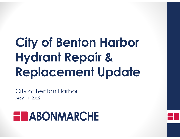# **City of Benton Harbor Hydrant Repair & Replacement Update**

City of Benton Harbor May 11, 2022

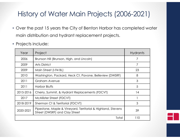### History of Water Main Projects (2006-2021)

- Over the past 15 years the City of Benton Harbor has completed water main distribution and hydrant replacement projects.
- Projects include:

| Year      | Project                                                                                        | <b>Hydrants</b> |
|-----------|------------------------------------------------------------------------------------------------|-----------------|
| 2006      | Brunson Hill (Brunson, High, and Lincoln)                                                      | 7               |
| 2009      | <b>Arts District</b>                                                                           | $\overline{7}$  |
| 2009      | Main Street (I-94 BL)                                                                          | 23              |
| 2010      | Washington, Packard, Heck Ct, Pavone, Belleview (DWSRF)                                        | 8               |
| 2011      | <b>Graham Avenue</b>                                                                           | 3               |
| 2011      | <b>Harbor Bluffs</b>                                                                           | 5               |
| 2015-2016 | Cherry, Summit, & Hydrant Replacements (FDCVT)                                                 | 14              |
| 2017      | McAllister Street (FDCVT)                                                                      |                 |
| 2018-2019 | Sherman Ct & Territorial (FDCVT)                                                               | 3               |
| 2020-2021 | Pipestone, Maple & Vineyard, Territorial & Highland, Stevens<br>Street (DWSRF) and Clay Street | 39              |
|           | 110                                                                                            |                 |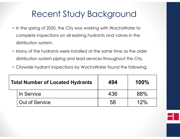## Recent Study Background

- In the spring of 2020, the City was working with WachsWater to complete inspections on all existing hydrants and valves in the distribution system.
- Many of the hydrants were installed at the same time as the older distribution system piping and lead services throughout the City.
- Citywide hydrant inspections by WachsWater found the following:

| <b>Total Number of Located Hydrants</b> |                       | 494 | 100% |
|-----------------------------------------|-----------------------|-----|------|
|                                         | In Service            | 436 | 88%  |
|                                         | <b>Out of Service</b> | 58  | 12%  |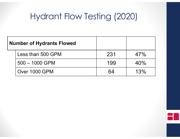# Hydrant Flow Testing (2020)

| <b>Number of Hydrants Flowed</b> |                   |     |     |
|----------------------------------|-------------------|-----|-----|
|                                  | Less than 500 GPM | 231 | 47% |
|                                  | $500 - 1000$ GPM  | 199 | 40% |
|                                  | Over 1000 GPM     | 64  | 13% |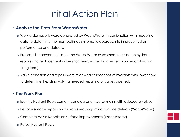## Initial Action Plan

#### • **Analyze the Data From WachsWater**

- o Work order reports were generated by WachsWater in conjunction with modeling data to determine the most optimal, systematic approach to improve hydrant performance and defects.
- o Proposed improvements after the WachsWater assessment focused on hydrant repairs and replacement in the short term, rather than water main reconstruction (long term).
- o Valve condition and repairs were reviewed at locations of hydrants with lower flow to determine if existing valving needed repairing or valves opened.

#### • **The Work Plan**

- o Identify Hydrant Replacement candidates on water mains with adequate valves
- o Perform surface repairs on Hydrants requiring minor surface defects (WachsWater)
- o Complete Valve Repairs on surface improvements (WachsWater)
- o Retest Hydrant Flows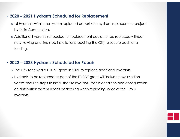#### • **2020 – 2021 Hydrants Scheduled for Replacement**

- o 15 Hydrants within the system replaced as part of a hydrant replacement project by Kalin Construction.
- o Additional hydrants scheduled for replacement could not be replaced without new valving and line stop installations requiring the City to secure additional funding.

#### • **2022 – 2023 Hydrants Scheduled for Repair**

- o The City received a FDCVT grant in 2021 to replace additional hydrants.
- o Hydrants to be replaced as part of the FDCVT grant will include new insertion valves and line stops to install the fire hydrant. Valve condition and configuration on distribution system needs addressing when replacing some of the City's hydrants.